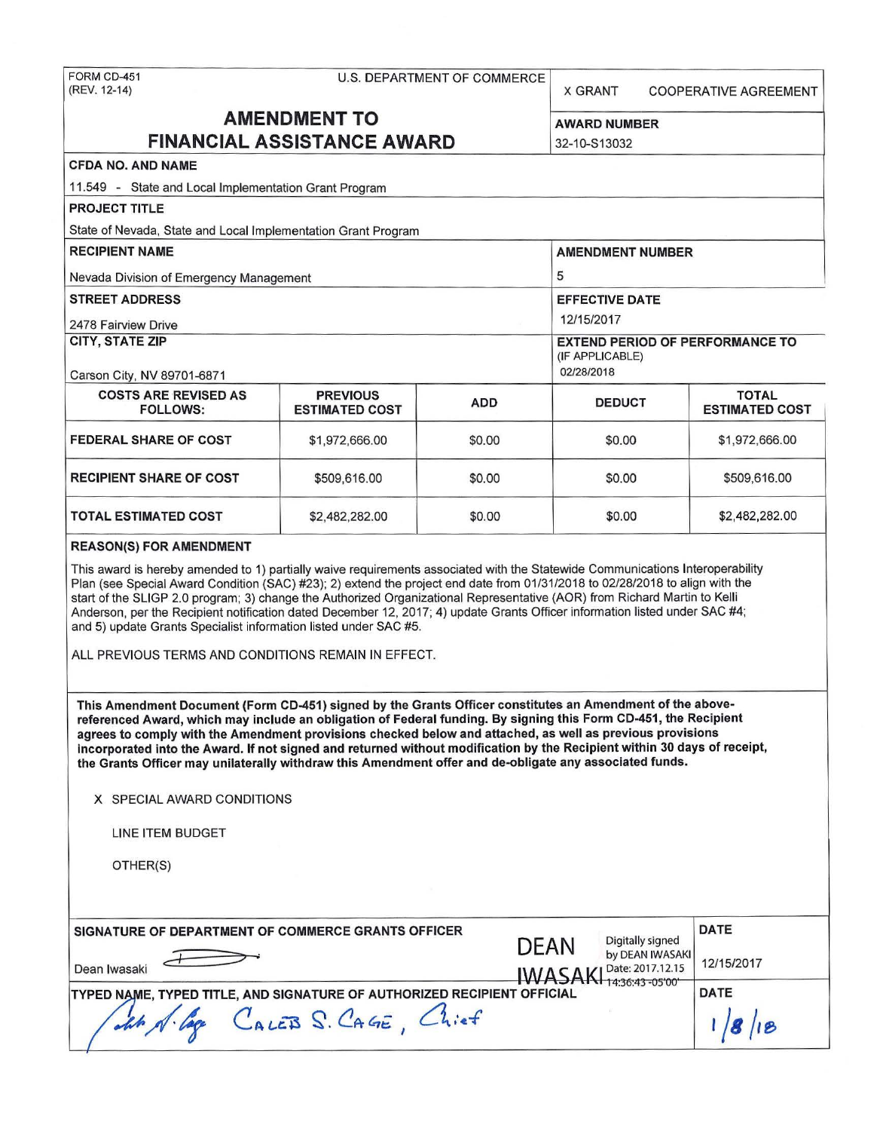X GRANT COOPERATIVE AGREEMENT

# **AMENDMENT TO** AWARD NUMBER **FINANCIAL ASSISTANCE AWARD** 32-10-S13032

|         | <b>CFDA NO. AND NAME</b>   |
|---------|----------------------------|
| 1.4.5.0 | <b>CARDINAL CONTRACTOR</b> |

11 .549 - State and Local Implementation Grant Program

| <b>PROJECT TITLE</b> |  |  |  |  |  |  |
|----------------------|--|--|--|--|--|--|
|                      |  |  |  |  |  |  |

State of Nevada, State and Local Implementation Grant Program

| <b>RECIPIENT NAME</b>                   | <b>AMENDMENT NUMBER</b>                |
|-----------------------------------------|----------------------------------------|
|                                         |                                        |
| Nevada Division of Emergency Management | 5                                      |
| <b>STREET ADDRESS</b>                   | <b>EFFECTIVE DATE</b>                  |
|                                         |                                        |
| 2478 Fairview Drive                     | 12/15/2017                             |
| <b>CITY, STATE ZIP</b>                  | <b>EXTEND PERIOD OF PERFORMANCE TO</b> |
|                                         | (IF APPLICABLE)                        |
|                                         |                                        |
| Carson City, NV 89701-6871              | 02/28/2018                             |
|                                         |                                        |

| <b>COSTS ARE REVISED AS</b><br><b>FOLLOWS:</b> | <b>PREVIOUS</b><br><b>ESTIMATED COST</b> | <b>ADD</b> | <b>DEDUCT</b> | <b>TOTAL</b><br><b>ESTIMATED COST</b> |
|------------------------------------------------|------------------------------------------|------------|---------------|---------------------------------------|
| <b>FEDERAL SHARE OF COST</b>                   | \$1,972,666.00                           | \$0.00     | \$0.00        | \$1,972,666.00                        |
| <b>RECIPIENT SHARE OF COST</b>                 | \$509,616,00                             | \$0.00     | \$0.00        | \$509,616.00                          |
| <b>TOTAL ESTIMATED COST</b>                    | \$2,482,282.00                           | \$0.00     | \$0.00        | \$2,482,282.00                        |

#### **REASON(\$) FOR AMENDMENT**

This award is hereby amended to 1) partially waive requirements associated with the Statewide Communications Interoperability Plan (see Special Award Condition (SAC) #23); 2) extend the project end date from 01/31/2018 to 02/28/2018 to align with the start of the SLIGP 2.0 program; 3) change the Authorized Organizational Representative (AOR) from Richard Martin to Kelli Anderson, per the Recipient notification dated December 12, 2017; 4) update Grants Officer information listed under SAC #4; and 5) update Grants Specialist information listed under SAC #5.

ALL PREVIOUS TERMS AND CONDITIONS REMAIN IN EFFECT.

**This Amendment Document (Form CD-451) signed by the Grants Officer constitutes an Amendment of the abovereferenced Award, which may include an obligation of Federal funding. By signing this Form CD-451, the Recipient agrees to comply with the Amendment provisions checked below and attached, as well as previous provisions**  incorporated into the **Award.** If not signed and returned without modification by the Recipient within 30 days of receipt, **the Grants Officer may unilaterally withdraw this Amendment offer and de-obligate any associated funds.** 

**X** SPECIAL AWARD CONDITIONS

LINE ITEM BUDGET

OTHER(S)

| SIGNATURE OF DEPARTMENT OF COMMERCE GRANTS OFFICER                             | <b>DATE</b> |                                                         |            |  |
|--------------------------------------------------------------------------------|-------------|---------------------------------------------------------|------------|--|
| Dean Iwasaki                                                                   | DEAN        | Digitally signed<br>by DEAN IWASAKI<br>Date: 2017.12.15 | 12/15/2017 |  |
| <b>TYPED NAME, TYPED TITLE, AND SIGNATURE OF AUTHORIZED RECIPIENT OFFICIAL</b> |             | HNI 1436:43-05'00'                                      | DATE       |  |
| CALEB S. CAGE,<br>$Ch$ ief                                                     |             |                                                         |            |  |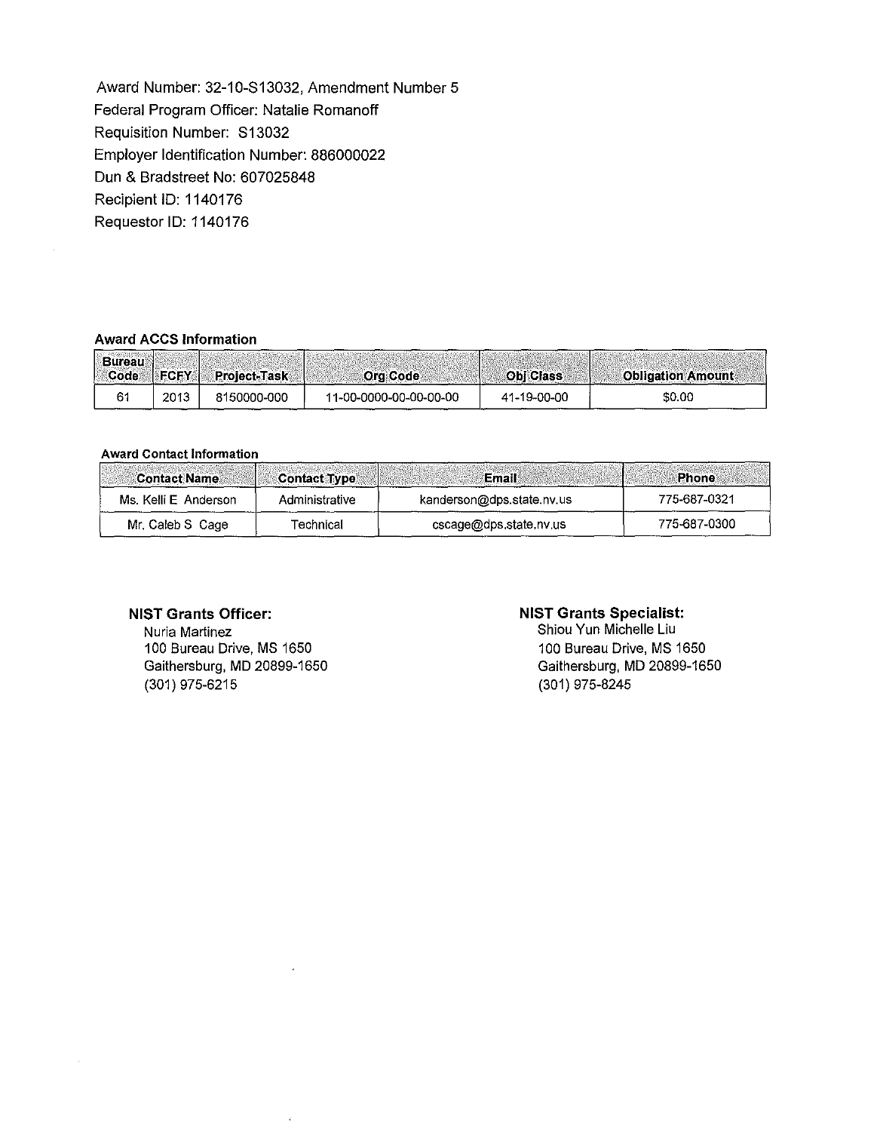Award Number: 32-10-S13032, Amendment Number 5 Federal Program Officer: Natalie Romanoff Requisition Number: S13032 Employer Identification Number: 886000022 Dun & Bradstreet No: 607025848 Recipient ID: 1140176 Requestor ID: 1140176

#### **Award ACCS Information**

| Bureau<br>Code | <b>FCFY</b> | <b>Project-Task</b> | Org Code               | <b>Obi Class</b> | <b>Obligation Amount</b> |
|----------------|-------------|---------------------|------------------------|------------------|--------------------------|
|                | 2013        | 8150000-000         | 11-00-0000-00-00-00-00 | 41-19-00-00      | \$0.00                   |

#### Award Contact Information

| <b>Contact Name</b>  | <b>Contact Type</b> | Email                     | <b>Phone</b> |
|----------------------|---------------------|---------------------------|--------------|
| Ms. Kelli E Anderson | Administrative      | kanderson@dps.state.nv.us | 775-687-0321 |
| Mr. Caleb S Cage     | Technical           | cscage@dps.state.nv.us    | 775-687-0300 |

#### **NIST Grants Officer:**

Nuria Martinez 100 Bureau Drive, MS 1650 Gaithersburg, MD 20899-1650 (301) 975-6215

### **NIST Grants Specialist:**

Shiou Yun Michelle Liu 100 Bureau Drive, MS 1650 Gaithersburg, MD 20899-1650 (301) 975-8245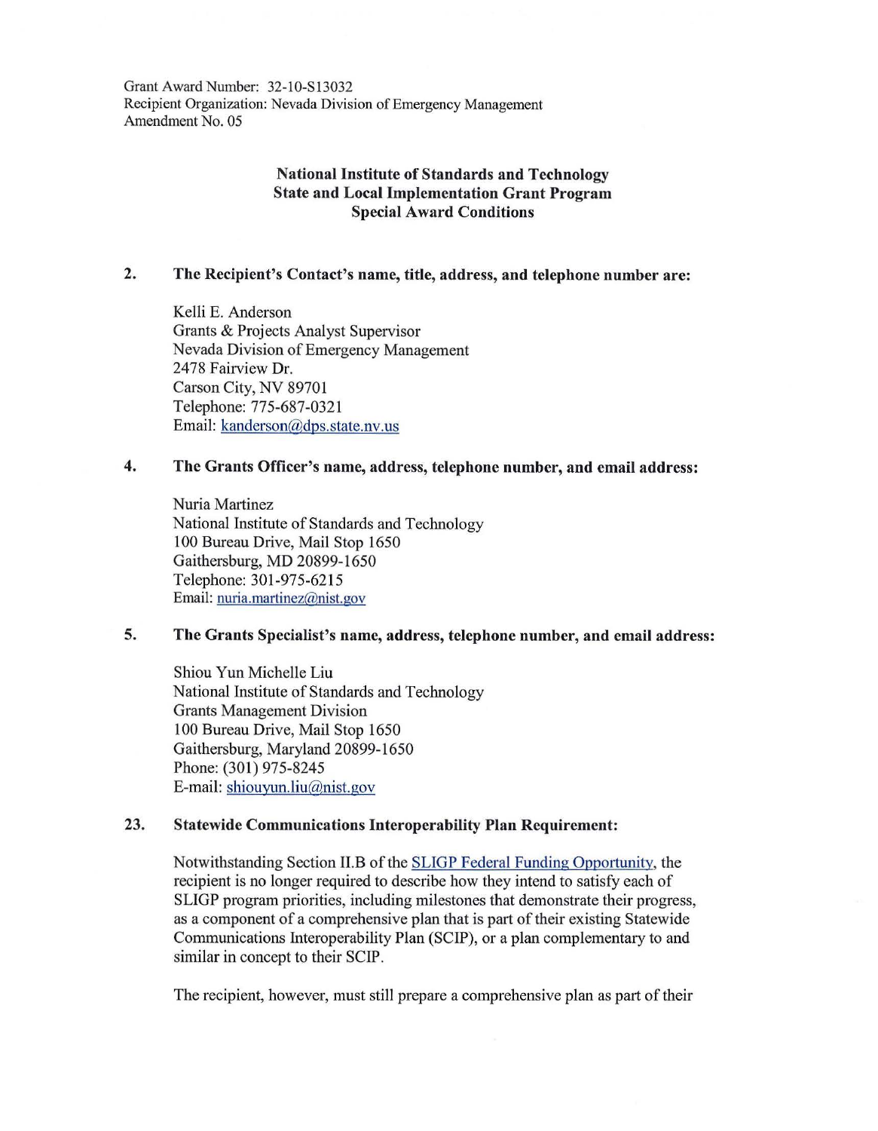Grant Award Number: 32-10-S13032 Recipient Organization: Nevada Division of Emergency Management Amendment No. 05

# **National Institute of Standards and Technology State and Local Implementation Grant Program Special Award Conditions**

## **2. The Recipient's Contact's name, title, address, and telephone number are:**

Kelli E. Anderson Grants & Projects Analyst Supervisor Nevada Division of Emergency Management 2478 Fairview Dr. Carson City, NV 89701 Telephone: 775-687-0321 Email: kanderson@dps.state.nv.us

# **4. The Grants Officer's name, address, telephone number, and email address:**

Nuria Martinez National Institute of Standards and Technology 100 Bureau Drive, Mail Stop 1650 Gaithersburg, MD 20899-1650 Telephone: 301-975-6215 Email: nuria.martinez@nist.gov

# **5. The Grants Specialist's name, address, telephone number, and email address:**

Shiou Yun Michelle Liu National Institute of Standards and Technology Grants Management Division 100 Bureau Drive, Mail Stop 1650 Gaithersburg, Maryland 20899-1650 Phone: (301) 975-8245 E-mail: shiouyun.liu@nist.gov

### **23. Statewide Communications Interoperability Plan Requirement:**

Notwithstanding Section II.B of the SLIGP Federal Funding Opportunity, the recipient is no longer required to describe how they intend to satisfy each of SLIGP program priorities, including milestones that demonstrate their progress, as a component of a comprehensive plan that is part of their existing Statewide Communications Interoperability Plan (SCIP), or a plan complementary to and similar in concept to their SCIP.

The recipient, however, must still prepare a comprehensive plan as part of their